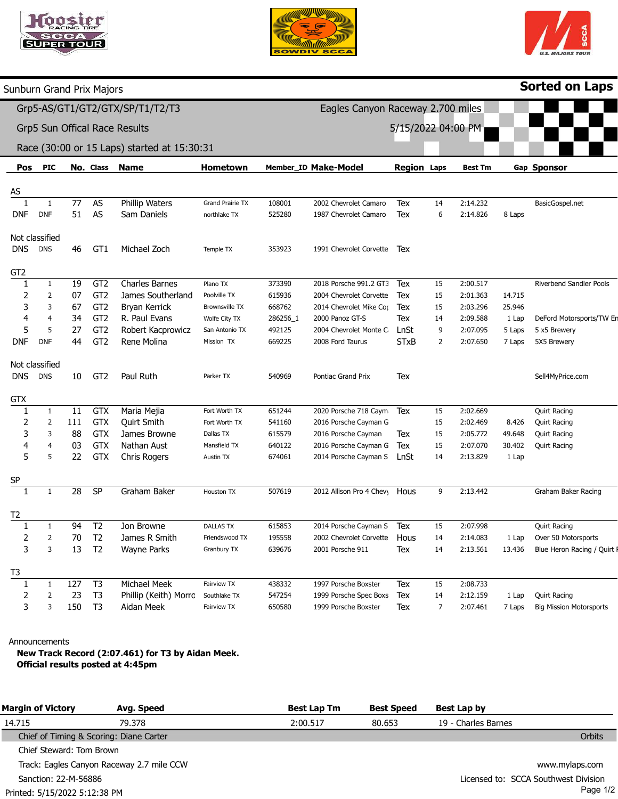





|                                                                                                                                                                                                                                                                                                                                                                                                                                                                                                                                                                                                                                                                                                                                                                                                                                                                           |  |  |                 |                       |                         |          |                                   |                    |    |                |                 | <b>Sorted on Laps</b>          |
|---------------------------------------------------------------------------------------------------------------------------------------------------------------------------------------------------------------------------------------------------------------------------------------------------------------------------------------------------------------------------------------------------------------------------------------------------------------------------------------------------------------------------------------------------------------------------------------------------------------------------------------------------------------------------------------------------------------------------------------------------------------------------------------------------------------------------------------------------------------------------|--|--|-----------------|-----------------------|-------------------------|----------|-----------------------------------|--------------------|----|----------------|-----------------|--------------------------------|
|                                                                                                                                                                                                                                                                                                                                                                                                                                                                                                                                                                                                                                                                                                                                                                                                                                                                           |  |  |                 |                       |                         |          | Eagles Canyon Raceway 2.700 miles |                    |    |                |                 |                                |
| Sunburn Grand Prix Majors<br>Grp5-AS/GT1/GT2/GTX/SP/T1/T2/T3<br>Grp5 Sun Offical Race Results<br>Race (30:00 or 15 Laps) started at 15:30:31<br><b>PIC</b><br>Pos<br>AS<br>77<br>$\mathbf{1}$<br>1<br>51<br><b>DNF</b><br>DNF<br>Not classified<br><b>DNS</b><br><b>DNS</b><br>46<br>GT <sub>2</sub><br>$\mathbf{1}$<br>19<br>1<br>2<br>$\overline{2}$<br>07<br>3<br>3<br>67<br>4<br>$\overline{4}$<br>34<br>5<br>5<br>27<br><b>DNF</b><br><b>DNF</b><br>44<br>Not classified<br><b>DNS</b><br><b>DNS</b><br>10<br><b>GTX</b><br>$\overline{11}$<br>1<br>$\mathbf{1}$<br>$\overline{\mathbf{c}}$<br>111<br>$\overline{2}$<br>3<br>3<br>88<br>03<br>4<br>$\overline{4}$<br>5<br>5<br>22<br>$\underline{\mathsf{SP}}$<br>$\mathbf{1}$<br>28<br>$\mathbf{1}$<br>94<br>1<br>70<br>2<br>2<br>13<br>3<br>3<br>T3<br>127<br>1<br>1<br>23<br>2<br>$\overline{2}$<br>3<br>150<br>3 |  |  |                 | 5/15/2022 04:00 PM    |                         |          |                                   |                    |    |                |                 |                                |
|                                                                                                                                                                                                                                                                                                                                                                                                                                                                                                                                                                                                                                                                                                                                                                                                                                                                           |  |  |                 |                       |                         |          |                                   |                    |    |                |                 |                                |
|                                                                                                                                                                                                                                                                                                                                                                                                                                                                                                                                                                                                                                                                                                                                                                                                                                                                           |  |  |                 |                       |                         |          |                                   |                    |    |                |                 |                                |
|                                                                                                                                                                                                                                                                                                                                                                                                                                                                                                                                                                                                                                                                                                                                                                                                                                                                           |  |  | No. Class       | <b>Name</b>           | Hometown                |          | Member_ID Make-Model              | <b>Region Laps</b> |    | <b>Best Tm</b> |                 | Gap Sponsor                    |
|                                                                                                                                                                                                                                                                                                                                                                                                                                                                                                                                                                                                                                                                                                                                                                                                                                                                           |  |  |                 |                       |                         |          |                                   |                    |    |                |                 |                                |
|                                                                                                                                                                                                                                                                                                                                                                                                                                                                                                                                                                                                                                                                                                                                                                                                                                                                           |  |  | AS              | Phillip Waters        | <b>Grand Prairie TX</b> | 108001   | 2002 Chevrolet Camaro             | Tex                | 14 | 2:14.232       |                 | BasicGospel.net                |
|                                                                                                                                                                                                                                                                                                                                                                                                                                                                                                                                                                                                                                                                                                                                                                                                                                                                           |  |  | AS              | Sam Daniels           | northlake TX            | 525280   | 1987 Chevrolet Camaro             | Tex                | 6  | 2:14.826       | 8 Laps          |                                |
|                                                                                                                                                                                                                                                                                                                                                                                                                                                                                                                                                                                                                                                                                                                                                                                                                                                                           |  |  |                 |                       |                         |          |                                   |                    |    |                |                 |                                |
|                                                                                                                                                                                                                                                                                                                                                                                                                                                                                                                                                                                                                                                                                                                                                                                                                                                                           |  |  |                 |                       |                         |          |                                   |                    |    |                |                 |                                |
|                                                                                                                                                                                                                                                                                                                                                                                                                                                                                                                                                                                                                                                                                                                                                                                                                                                                           |  |  | GT1             | Michael Zoch          | Temple TX               | 353923   | 1991 Chevrolet Corvette           | Tex                |    |                |                 |                                |
|                                                                                                                                                                                                                                                                                                                                                                                                                                                                                                                                                                                                                                                                                                                                                                                                                                                                           |  |  |                 |                       |                         |          |                                   |                    |    |                |                 |                                |
|                                                                                                                                                                                                                                                                                                                                                                                                                                                                                                                                                                                                                                                                                                                                                                                                                                                                           |  |  |                 |                       |                         |          |                                   |                    |    |                |                 |                                |
|                                                                                                                                                                                                                                                                                                                                                                                                                                                                                                                                                                                                                                                                                                                                                                                                                                                                           |  |  | GT <sub>2</sub> | <b>Charles Barnes</b> | Plano TX                | 373390   | 2018 Porsche 991.2 GT3            | Tex                | 15 | 2:00.517       |                 | Riverbend Sandler Pools        |
|                                                                                                                                                                                                                                                                                                                                                                                                                                                                                                                                                                                                                                                                                                                                                                                                                                                                           |  |  | GT <sub>2</sub> | James Southerland     | Poolville TX            | 615936   | 2004 Chevrolet Corvette           | Tex                | 15 | 2:01.363       | 14.715          |                                |
|                                                                                                                                                                                                                                                                                                                                                                                                                                                                                                                                                                                                                                                                                                                                                                                                                                                                           |  |  | GT <sub>2</sub> | Bryan Kerrick         | <b>Brownsville TX</b>   | 668762   | 2014 Chevrolet Mike Cor           | Tex                | 15 | 2:03.296       | 25.946          |                                |
|                                                                                                                                                                                                                                                                                                                                                                                                                                                                                                                                                                                                                                                                                                                                                                                                                                                                           |  |  | GT <sub>2</sub> | R. Paul Evans         | Wolfe City TX           | 286256_1 | 2000 Panoz GT-S                   | Tex                | 14 | 2:09.588       | 1 Lap           | DeFord Motorsports/TW Er       |
|                                                                                                                                                                                                                                                                                                                                                                                                                                                                                                                                                                                                                                                                                                                                                                                                                                                                           |  |  | GT <sub>2</sub> | Robert Kacprowicz     | San Antonio TX          | 492125   | 2004 Chevrolet Monte C            | LnSt               | 9  | 2:07.095       | 5 Laps          | 5 x5 Brewery                   |
|                                                                                                                                                                                                                                                                                                                                                                                                                                                                                                                                                                                                                                                                                                                                                                                                                                                                           |  |  | GT <sub>2</sub> | Rene Molina           | Mission TX              | 669225   | 2008 Ford Taurus                  | <b>STxB</b>        | 2  | 2:07.650       | 7 Laps          | 5X5 Brewery                    |
|                                                                                                                                                                                                                                                                                                                                                                                                                                                                                                                                                                                                                                                                                                                                                                                                                                                                           |  |  |                 |                       |                         |          |                                   |                    |    |                |                 |                                |
|                                                                                                                                                                                                                                                                                                                                                                                                                                                                                                                                                                                                                                                                                                                                                                                                                                                                           |  |  | GT <sub>2</sub> | Paul Ruth             | Parker TX               | 540969   | Pontiac Grand Prix                | Tex                |    |                |                 | Sell4MyPrice.com               |
|                                                                                                                                                                                                                                                                                                                                                                                                                                                                                                                                                                                                                                                                                                                                                                                                                                                                           |  |  |                 |                       |                         |          |                                   |                    |    |                |                 |                                |
|                                                                                                                                                                                                                                                                                                                                                                                                                                                                                                                                                                                                                                                                                                                                                                                                                                                                           |  |  |                 |                       |                         |          |                                   |                    |    |                |                 |                                |
|                                                                                                                                                                                                                                                                                                                                                                                                                                                                                                                                                                                                                                                                                                                                                                                                                                                                           |  |  | GTX             | Maria Mejia           | Fort Worth TX           | 651244   | 2020 Porsche 718 Caym             | Tex                | 15 | 2:02.669       |                 | <b>Quirt Racing</b>            |
|                                                                                                                                                                                                                                                                                                                                                                                                                                                                                                                                                                                                                                                                                                                                                                                                                                                                           |  |  | <b>GTX</b>      | Quirt Smith           | Fort Worth TX           | 541160   | 2016 Porsche Cayman G             |                    | 15 | 2:02.469       | 8.426           | <b>Quirt Racing</b>            |
|                                                                                                                                                                                                                                                                                                                                                                                                                                                                                                                                                                                                                                                                                                                                                                                                                                                                           |  |  | <b>GTX</b>      | James Browne          | Dallas TX               | 615579   | 2016 Porsche Cayman               | Tex                | 15 | 2:05.772       | 49.648          | <b>Quirt Racing</b>            |
|                                                                                                                                                                                                                                                                                                                                                                                                                                                                                                                                                                                                                                                                                                                                                                                                                                                                           |  |  | <b>GTX</b>      | Nathan Aust           | Mansfield TX            | 640122   | 2016 Porsche Cayman G             | Tex                | 15 | 2:07.070       | 30.402          | <b>Quirt Racing</b>            |
|                                                                                                                                                                                                                                                                                                                                                                                                                                                                                                                                                                                                                                                                                                                                                                                                                                                                           |  |  | <b>GTX</b>      | Chris Rogers          | Austin TX               | 674061   | 2014 Porsche Cayman S             | LnSt               | 14 | 2:13.829       | 1 Lap           |                                |
|                                                                                                                                                                                                                                                                                                                                                                                                                                                                                                                                                                                                                                                                                                                                                                                                                                                                           |  |  |                 |                       |                         |          |                                   |                    |    |                |                 |                                |
|                                                                                                                                                                                                                                                                                                                                                                                                                                                                                                                                                                                                                                                                                                                                                                                                                                                                           |  |  | SP              | Graham Baker          | Houston TX              | 507619   | 2012 Allison Pro 4 Chevy          | Hous               | 9  | 2:13.442       |                 | Graham Baker Racing            |
|                                                                                                                                                                                                                                                                                                                                                                                                                                                                                                                                                                                                                                                                                                                                                                                                                                                                           |  |  |                 |                       |                         |          |                                   |                    |    |                |                 |                                |
|                                                                                                                                                                                                                                                                                                                                                                                                                                                                                                                                                                                                                                                                                                                                                                                                                                                                           |  |  |                 |                       |                         |          |                                   |                    |    |                |                 |                                |
|                                                                                                                                                                                                                                                                                                                                                                                                                                                                                                                                                                                                                                                                                                                                                                                                                                                                           |  |  | T <sub>2</sub>  | Jon Browne            | <b>DALLAS TX</b>        | 615853   | 2014 Porsche Cayman S             | Tex                | 15 | 2:07.998       |                 | <b>Quirt Racing</b>            |
|                                                                                                                                                                                                                                                                                                                                                                                                                                                                                                                                                                                                                                                                                                                                                                                                                                                                           |  |  | T <sub>2</sub>  | James R Smith         | Friendswood TX          | 195558   | 2002 Chevrolet Corvette           | Hous               | 14 | 2:14.083       | 1 Lap           | Over 50 Motorsports            |
|                                                                                                                                                                                                                                                                                                                                                                                                                                                                                                                                                                                                                                                                                                                                                                                                                                                                           |  |  | T <sub>2</sub>  | <b>Wayne Parks</b>    | Granbury TX             | 639676   | 2001 Porsche 911                  | Tex                | 14 | 2:13.561       | 13.436          | Blue Heron Racing / Quirt I    |
|                                                                                                                                                                                                                                                                                                                                                                                                                                                                                                                                                                                                                                                                                                                                                                                                                                                                           |  |  |                 |                       |                         |          |                                   |                    |    |                |                 |                                |
|                                                                                                                                                                                                                                                                                                                                                                                                                                                                                                                                                                                                                                                                                                                                                                                                                                                                           |  |  | T <sub>3</sub>  | Michael Meek          | Fairview TX             | 438332   | 1997 Porsche Boxster              |                    | 15 | 2:08.733       |                 |                                |
|                                                                                                                                                                                                                                                                                                                                                                                                                                                                                                                                                                                                                                                                                                                                                                                                                                                                           |  |  | T <sub>3</sub>  | Phillip (Keith) Morro | Southlake TX            | 547254   | 1999 Porsche Spec Boxs            | Tex<br>Tex         | 14 | 2:12.159       |                 | <b>Quirt Racing</b>            |
|                                                                                                                                                                                                                                                                                                                                                                                                                                                                                                                                                                                                                                                                                                                                                                                                                                                                           |  |  | T <sub>3</sub>  |                       | Fairview TX             | 650580   | 1999 Porsche Boxster              |                    | 7  | 2:07.461       | 1 Lap<br>7 Laps | <b>Big Mission Motorsports</b> |
|                                                                                                                                                                                                                                                                                                                                                                                                                                                                                                                                                                                                                                                                                                                                                                                                                                                                           |  |  |                 | Aidan Meek            |                         |          |                                   | Tex                |    |                |                 |                                |

Announcements

New Track Record (2:07.461) for T3 by Aidan Meek. Official results posted at 4:45pm

| <b>Margin of Victory</b>                | Avg. Speed                                | <b>Best Lap Tm</b> | <b>Best Speed</b>                    | Best Lap by         |
|-----------------------------------------|-------------------------------------------|--------------------|--------------------------------------|---------------------|
| 14.715                                  | 79.378                                    | 2:00.517           | 80.653                               | 19 - Charles Barnes |
| Chief of Timing & Scoring: Diane Carter |                                           |                    |                                      | Orbits              |
| Chief Steward: Tom Brown                |                                           |                    |                                      |                     |
|                                         | Track: Eagles Canyon Raceway 2.7 mile CCW |                    |                                      | www.mylaps.com      |
| Sanction: 22-M-56886                    |                                           |                    | Licensed to: SCCA Southwest Division |                     |
| Printed: 5/15/2022 5:12:38 PM           |                                           |                    |                                      | Page 1/2            |